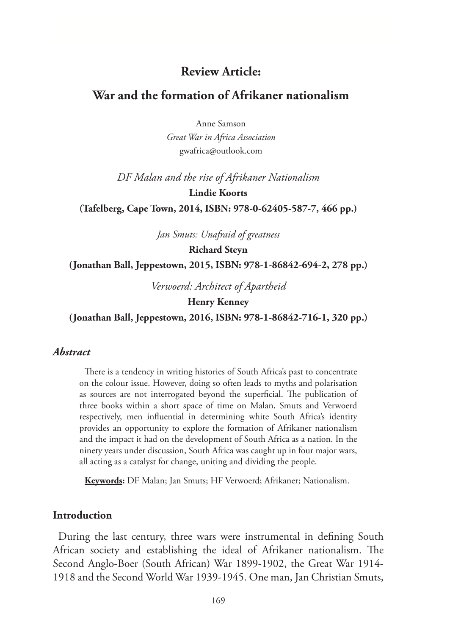## **Review Article:**

## **War and the formation of Afrikaner nationalism**

Anne Samson

*Great War in Africa Association* gwafrica@outlook.com

*DF Malan and the rise of Afrikaner Nationalism*

**Lindie Koorts**

**(Tafelberg, Cape Town, 2014, ISBN: 978-0-62405-587-7, 466 pp.)**

*Jan Smuts: Unafraid of greatness*

**Richard Steyn**

**(Jonathan Ball, Jeppestown, 2015, ISBN: 978-1-86842-694-2, 278 pp.)**

*Verwoerd: Architect of Apartheid*

#### **Henry Kenney**

**(Jonathan Ball, Jeppestown, 2016, ISBN: 978-1-86842-716-1, 320 pp.)**

#### *Abstract*

There is a tendency in writing histories of South Africa's past to concentrate on the colour issue. However, doing so often leads to myths and polarisation as sources are not interrogated beyond the superficial. The publication of three books within a short space of time on Malan, Smuts and Verwoerd respectively, men influential in determining white South Africa's identity provides an opportunity to explore the formation of Afrikaner nationalism and the impact it had on the development of South Africa as a nation. In the ninety years under discussion, South Africa was caught up in four major wars, all acting as a catalyst for change, uniting and dividing the people.

**Keywords:** DF Malan; Jan Smuts; HF Verwoerd; Afrikaner; Nationalism.

#### **Introduction**

During the last century, three wars were instrumental in defining South African society and establishing the ideal of Afrikaner nationalism. The Second Anglo-Boer (South African) War 1899-1902, the Great War 1914- 1918 and the Second World War 1939-1945. One man, Jan Christian Smuts,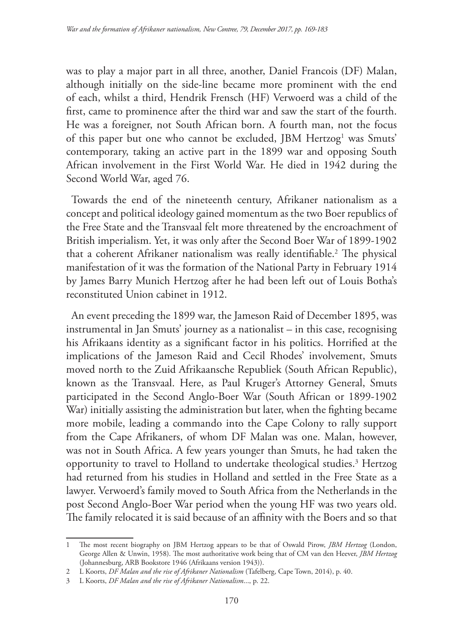was to play a major part in all three, another, Daniel Francois (DF) Malan, although initially on the side-line became more prominent with the end of each, whilst a third, Hendrik Frensch (HF) Verwoerd was a child of the first, came to prominence after the third war and saw the start of the fourth. He was a foreigner, not South African born. A fourth man, not the focus of this paper but one who cannot be excluded, JBM Hertzog<sup>1</sup> was Smuts' contemporary, taking an active part in the 1899 war and opposing South African involvement in the First World War. He died in 1942 during the Second World War, aged 76.

Towards the end of the nineteenth century, Afrikaner nationalism as a concept and political ideology gained momentum as the two Boer republics of the Free State and the Transvaal felt more threatened by the encroachment of British imperialism. Yet, it was only after the Second Boer War of 1899-1902 that a coherent Afrikaner nationalism was really identifiable.2 The physical manifestation of it was the formation of the National Party in February 1914 by James Barry Munich Hertzog after he had been left out of Louis Botha's reconstituted Union cabinet in 1912.

An event preceding the 1899 war, the Jameson Raid of December 1895, was instrumental in Jan Smuts' journey as a nationalist – in this case, recognising his Afrikaans identity as a significant factor in his politics. Horrified at the implications of the Jameson Raid and Cecil Rhodes' involvement, Smuts moved north to the Zuid Afrikaansche Republiek (South African Republic), known as the Transvaal. Here, as Paul Kruger's Attorney General, Smuts participated in the Second Anglo-Boer War (South African or 1899-1902 War) initially assisting the administration but later, when the fighting became more mobile, leading a commando into the Cape Colony to rally support from the Cape Afrikaners, of whom DF Malan was one. Malan, however, was not in South Africa. A few years younger than Smuts, he had taken the opportunity to travel to Holland to undertake theological studies.<sup>3</sup> Hertzog had returned from his studies in Holland and settled in the Free State as a lawyer. Verwoerd's family moved to South Africa from the Netherlands in the post Second Anglo-Boer War period when the young HF was two years old. The family relocated it is said because of an affinity with the Boers and so that

<sup>1</sup> The most recent biography on JBM Hertzog appears to be that of Oswald Pirow, *JBM Hertzog* (London, George Allen & Unwin, 1958). The most authoritative work being that of CM van den Heever, *JBM Hertzog* (Johannesburg, ARB Bookstore 1946 (Afrikaans version 1943)).

<sup>2</sup> L Koorts, *DF Malan and the rise of Afrikaner Nationalism* (Tafelberg, Cape Town, 2014), p. 40.

<sup>3</sup> L Koorts, *DF Malan and the rise of Afrikaner Nationalism*..., p. 22.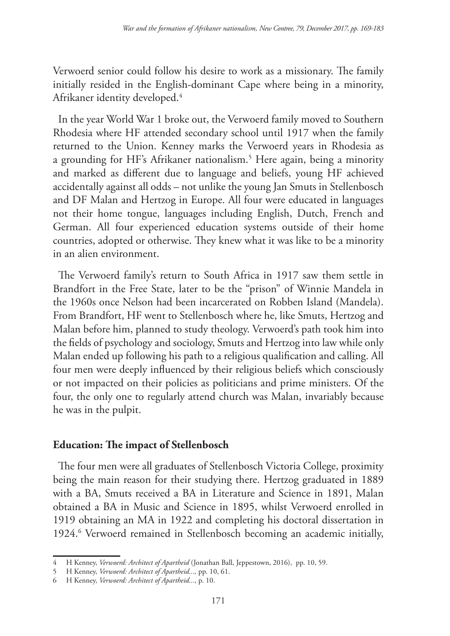Verwoerd senior could follow his desire to work as a missionary. The family initially resided in the English-dominant Cape where being in a minority, Afrikaner identity developed.4

In the year World War 1 broke out, the Verwoerd family moved to Southern Rhodesia where HF attended secondary school until 1917 when the family returned to the Union. Kenney marks the Verwoerd years in Rhodesia as a grounding for HF's Afrikaner nationalism.5 Here again, being a minority and marked as different due to language and beliefs, young HF achieved accidentally against all odds – not unlike the young Jan Smuts in Stellenbosch and DF Malan and Hertzog in Europe. All four were educated in languages not their home tongue, languages including English, Dutch, French and German. All four experienced education systems outside of their home countries, adopted or otherwise. They knew what it was like to be a minority in an alien environment.

The Verwoerd family's return to South Africa in 1917 saw them settle in Brandfort in the Free State, later to be the "prison" of Winnie Mandela in the 1960s once Nelson had been incarcerated on Robben Island (Mandela). From Brandfort, HF went to Stellenbosch where he, like Smuts, Hertzog and Malan before him, planned to study theology. Verwoerd's path took him into the fields of psychology and sociology, Smuts and Hertzog into law while only Malan ended up following his path to a religious qualification and calling. All four men were deeply influenced by their religious beliefs which consciously or not impacted on their policies as politicians and prime ministers. Of the four, the only one to regularly attend church was Malan, invariably because he was in the pulpit.

## **Education: The impact of Stellenbosch**

The four men were all graduates of Stellenbosch Victoria College, proximity being the main reason for their studying there. Hertzog graduated in 1889 with a BA, Smuts received a BA in Literature and Science in 1891, Malan obtained a BA in Music and Science in 1895, whilst Verwoerd enrolled in 1919 obtaining an MA in 1922 and completing his doctoral dissertation in 1924.<sup>6</sup> Verwoerd remained in Stellenbosch becoming an academic initially,

<sup>4</sup> H Kenney, *Verwoerd: Architect of Apartheid* (Jonathan Ball, Jeppestown, 2016), pp. 10, 59.

<sup>5</sup> H Kenney, *Verwoerd: Architect of Apartheid...,* pp. 10, 61.

<sup>6</sup> H Kenney, *Verwoerd: Architect of Apartheid...*, p. 10.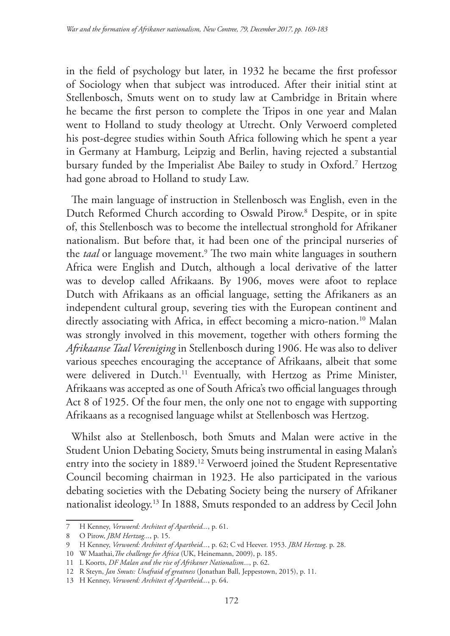in the field of psychology but later, in 1932 he became the first professor of Sociology when that subject was introduced. After their initial stint at Stellenbosch, Smuts went on to study law at Cambridge in Britain where he became the first person to complete the Tripos in one year and Malan went to Holland to study theology at Utrecht. Only Verwoerd completed his post-degree studies within South Africa following which he spent a year in Germany at Hamburg, Leipzig and Berlin, having rejected a substantial bursary funded by the Imperialist Abe Bailey to study in Oxford.7 Hertzog had gone abroad to Holland to study Law.

The main language of instruction in Stellenbosch was English, even in the Dutch Reformed Church according to Oswald Pirow.8 Despite, or in spite of, this Stellenbosch was to become the intellectual stronghold for Afrikaner nationalism. But before that, it had been one of the principal nurseries of the *taal* or language movement.<sup>9</sup> The two main white languages in southern Africa were English and Dutch, although a local derivative of the latter was to develop called Afrikaans. By 1906, moves were afoot to replace Dutch with Afrikaans as an official language, setting the Afrikaners as an independent cultural group, severing ties with the European continent and directly associating with Africa, in effect becoming a micro-nation.<sup>10</sup> Malan was strongly involved in this movement, together with others forming the *Afrikaanse Taal Vereniging* in Stellenbosch during 1906. He was also to deliver various speeches encouraging the acceptance of Afrikaans, albeit that some were delivered in Dutch.<sup>11</sup> Eventually, with Hertzog as Prime Minister, Afrikaans was accepted as one of South Africa's two official languages through Act 8 of 1925. Of the four men, the only one not to engage with supporting Afrikaans as a recognised language whilst at Stellenbosch was Hertzog.

Whilst also at Stellenbosch, both Smuts and Malan were active in the Student Union Debating Society, Smuts being instrumental in easing Malan's entry into the society in 1889.12 Verwoerd joined the Student Representative Council becoming chairman in 1923. He also participated in the various debating societies with the Debating Society being the nursery of Afrikaner nationalist ideology.13 In 1888, Smuts responded to an address by Cecil John

<sup>7</sup> H Kenney, *Verwoerd: Architect of Apartheid...*, p. 61.

<sup>8</sup> O Pirow, *JBM Hertzog...*, p. 15.

<sup>9</sup> H Kenney, *Verwoerd: Architect of Apartheid...*, p. 62; C vd Heever. 1953. *JBM Hertzog*. p. 28.

<sup>10</sup> W Maathai,*The challenge for Africa* (UK, Heinemann, 2009), p. 185.

<sup>11</sup> L Koorts, *DF Malan and the rise of Afrikaner Nationalism...*, p. 62.

<sup>12</sup> R Steyn, *Jan Smuts: Unafraid of greatness* (Jonathan Ball, Jeppestown, 2015), p. 11.

<sup>13</sup> H Kenney, *Verwoerd: Architect of Apartheid...*, p. 64.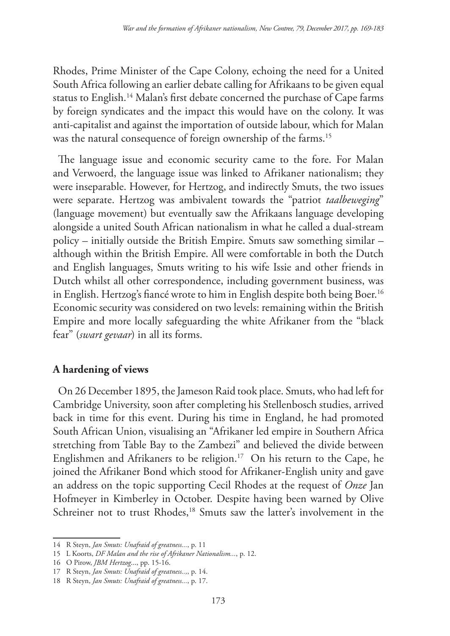Rhodes, Prime Minister of the Cape Colony, echoing the need for a United South Africa following an earlier debate calling for Afrikaans to be given equal status to English.14 Malan's first debate concerned the purchase of Cape farms by foreign syndicates and the impact this would have on the colony. It was anti-capitalist and against the importation of outside labour, which for Malan was the natural consequence of foreign ownership of the farms.<sup>15</sup>

The language issue and economic security came to the fore. For Malan and Verwoerd, the language issue was linked to Afrikaner nationalism; they were inseparable. However, for Hertzog, and indirectly Smuts, the two issues were separate. Hertzog was ambivalent towards the "patriot *taalbeweging*" (language movement) but eventually saw the Afrikaans language developing alongside a united South African nationalism in what he called a dual-stream policy – initially outside the British Empire. Smuts saw something similar – although within the British Empire. All were comfortable in both the Dutch and English languages, Smuts writing to his wife Issie and other friends in Dutch whilst all other correspondence, including government business, was in English. Hertzog's fiancé wrote to him in English despite both being Boer.<sup>16</sup> Economic security was considered on two levels: remaining within the British Empire and more locally safeguarding the white Afrikaner from the "black fear" (*swart gevaar*) in all its forms.

# **A hardening of views**

On 26 December 1895, the Jameson Raid took place. Smuts, who had left for Cambridge University, soon after completing his Stellenbosch studies, arrived back in time for this event. During his time in England, he had promoted South African Union, visualising an "Afrikaner led empire in Southern Africa stretching from Table Bay to the Zambezi" and believed the divide between Englishmen and Afrikaners to be religion.<sup>17</sup> On his return to the Cape, he joined the Afrikaner Bond which stood for Afrikaner-English unity and gave an address on the topic supporting Cecil Rhodes at the request of *Onze* Jan Hofmeyer in Kimberley in October. Despite having been warned by Olive Schreiner not to trust Rhodes,<sup>18</sup> Smuts saw the latter's involvement in the

<sup>14</sup> R Steyn, *Jan Smuts: Unafraid of greatness...*, p. 11

<sup>15</sup> L Koorts, *DF Malan and the rise of Afrikaner Nationalism...*, p. 12.

<sup>16</sup> O Pirow, *JBM Hertzog*..., pp. 15-16.

<sup>17</sup> R Steyn, *Jan Smuts: Unafraid of greatness..,*, p. 14.

<sup>18</sup> R Steyn, *Jan Smuts: Unafraid of greatness...*, p. 17.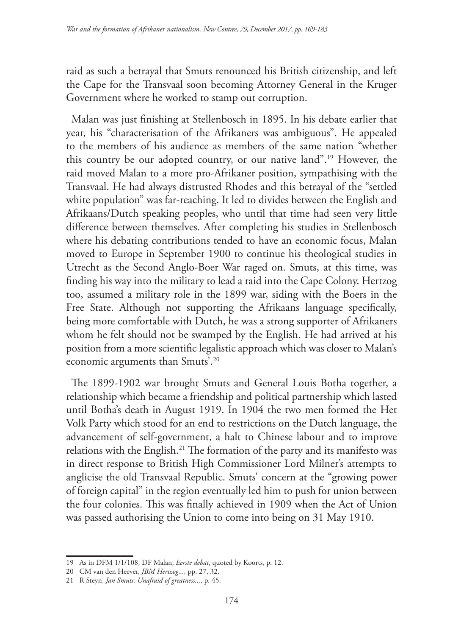raid as such a betrayal that Smuts renounced his British citizenship, and left the Cape for the Transvaal soon becoming Attorney General in the Kruger Government where he worked to stamp out corruption.

Malan was just finishing at Stellenbosch in 1895. In his debate earlier that year, his "characterisation of the Afrikaners was ambiguous". He appealed to the members of his audience as members of the same nation "whether this country be our adopted country, or our native land".19 However, the raid moved Malan to a more pro-Afrikaner position, sympathising with the Transvaal. He had always distrusted Rhodes and this betrayal of the "settled white population" was far-reaching. It led to divides between the English and Afrikaans/Dutch speaking peoples, who until that time had seen very little difference between themselves. After completing his studies in Stellenbosch where his debating contributions tended to have an economic focus, Malan moved to Europe in September 1900 to continue his theological studies in Utrecht as the Second Anglo-Boer War raged on. Smuts, at this time, was finding his way into the military to lead a raid into the Cape Colony. Hertzog too, assumed a military role in the 1899 war, siding with the Boers in the Free State. Although not supporting the Afrikaans language specifically, being more comfortable with Dutch, he was a strong supporter of Afrikaners whom he felt should not be swamped by the English. He had arrived at his position from a more scientific legalistic approach which was closer to Malan's economic arguments than Smuts'.20

The 1899-1902 war brought Smuts and General Louis Botha together, a relationship which became a friendship and political partnership which lasted until Botha's death in August 1919. In 1904 the two men formed the Het Volk Party which stood for an end to restrictions on the Dutch language, the advancement of self-government, a halt to Chinese labour and to improve relations with the English.<sup>21</sup> The formation of the party and its manifesto was in direct response to British High Commissioner Lord Milner's attempts to anglicise the old Transvaal Republic. Smuts' concern at the "growing power of foreign capital" in the region eventually led him to push for union between the four colonies. This was finally achieved in 1909 when the Act of Union was passed authorising the Union to come into being on 31 May 1910.

<sup>19</sup> As in DFM 1/1/108, DF Malan, *Eerste debat*, quoted by Koorts, p. 12.

<sup>20</sup> CM van den Heever, *JBM Hertzog...,* pp. 27, 32.

<sup>21</sup> R Steyn, *Jan Smuts: Unafraid of greatness...*, p. 45.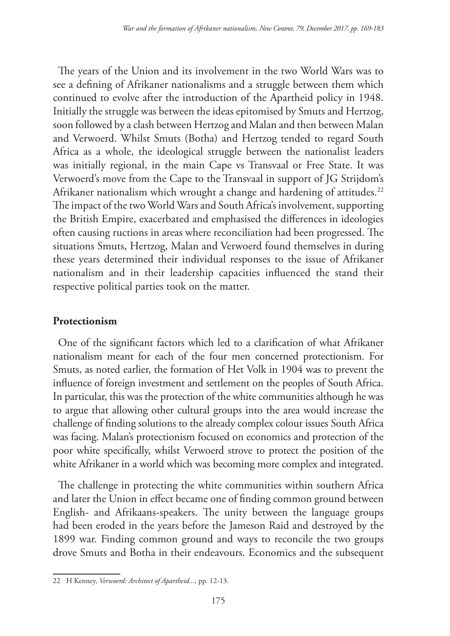The years of the Union and its involvement in the two World Wars was to see a defining of Afrikaner nationalisms and a struggle between them which continued to evolve after the introduction of the Apartheid policy in 1948. Initially the struggle was between the ideas epitomised by Smuts and Hertzog, soon followed by a clash between Hertzog and Malan and then between Malan and Verwoerd. Whilst Smuts (Botha) and Hertzog tended to regard South Africa as a whole, the ideological struggle between the nationalist leaders was initially regional, in the main Cape vs Transvaal or Free State. It was Verwoerd's move from the Cape to the Transvaal in support of JG Strijdom's Afrikaner nationalism which wrought a change and hardening of attitudes.<sup>22</sup> The impact of the two World Wars and South Africa's involvement, supporting the British Empire, exacerbated and emphasised the differences in ideologies often causing ructions in areas where reconciliation had been progressed. The situations Smuts, Hertzog, Malan and Verwoerd found themselves in during these years determined their individual responses to the issue of Afrikaner nationalism and in their leadership capacities influenced the stand their respective political parties took on the matter.

## **Protectionism**

One of the significant factors which led to a clarification of what Afrikaner nationalism meant for each of the four men concerned protectionism. For Smuts, as noted earlier, the formation of Het Volk in 1904 was to prevent the influence of foreign investment and settlement on the peoples of South Africa. In particular, this was the protection of the white communities although he was to argue that allowing other cultural groups into the area would increase the challenge of finding solutions to the already complex colour issues South Africa was facing. Malan's protectionism focused on economics and protection of the poor white specifically, whilst Verwoerd strove to protect the position of the white Afrikaner in a world which was becoming more complex and integrated.

The challenge in protecting the white communities within southern Africa and later the Union in effect became one of finding common ground between English- and Afrikaans-speakers. The unity between the language groups had been eroded in the years before the Jameson Raid and destroyed by the 1899 war. Finding common ground and ways to reconcile the two groups drove Smuts and Botha in their endeavours. Economics and the subsequent

<sup>22</sup> H Kenney, *Verwoerd: Architect of Apartheid...*, pp. 12-13.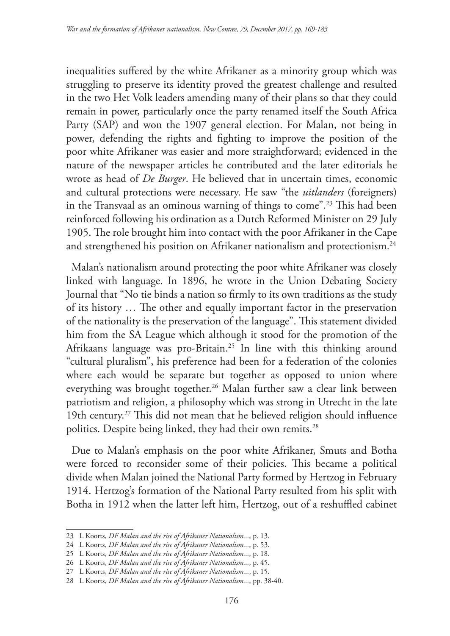inequalities suffered by the white Afrikaner as a minority group which was struggling to preserve its identity proved the greatest challenge and resulted in the two Het Volk leaders amending many of their plans so that they could remain in power, particularly once the party renamed itself the South Africa Party (SAP) and won the 1907 general election. For Malan, not being in power, defending the rights and fighting to improve the position of the poor white Afrikaner was easier and more straightforward; evidenced in the nature of the newspaper articles he contributed and the later editorials he wrote as head of *De Burger*. He believed that in uncertain times, economic and cultural protections were necessary. He saw "the *uitlanders* (foreigners) in the Transvaal as an ominous warning of things to come".23 This had been reinforced following his ordination as a Dutch Reformed Minister on 29 July 1905. The role brought him into contact with the poor Afrikaner in the Cape and strengthened his position on Afrikaner nationalism and protectionism.<sup>24</sup>

Malan's nationalism around protecting the poor white Afrikaner was closely linked with language. In 1896, he wrote in the Union Debating Society Journal that "No tie binds a nation so firmly to its own traditions as the study of its history … The other and equally important factor in the preservation of the nationality is the preservation of the language". This statement divided him from the SA League which although it stood for the promotion of the Afrikaans language was pro-Britain.25 In line with this thinking around "cultural pluralism", his preference had been for a federation of the colonies where each would be separate but together as opposed to union where everything was brought together.<sup>26</sup> Malan further saw a clear link between patriotism and religion, a philosophy which was strong in Utrecht in the late 19th century.27 This did not mean that he believed religion should influence politics. Despite being linked, they had their own remits.<sup>28</sup>

Due to Malan's emphasis on the poor white Afrikaner, Smuts and Botha were forced to reconsider some of their policies. This became a political divide when Malan joined the National Party formed by Hertzog in February 1914. Hertzog's formation of the National Party resulted from his split with Botha in 1912 when the latter left him, Hertzog, out of a reshuffled cabinet

<sup>23</sup> L Koorts, *DF Malan and the rise of Afrikaner Nationalism...*, p. 13.

<sup>24</sup> L Koorts, *DF Malan and the rise of Afrikaner Nationalism...*, p. 53.

<sup>25</sup> L Koorts, *DF Malan and the rise of Afrikaner Nationalism...*, p. 18.

<sup>26</sup> L Koorts, *DF Malan and the rise of Afrikaner Nationalism...*, p. 45.

<sup>27</sup> L Koorts, *DF Malan and the rise of Afrikaner Nationalism...*, p. 15.

<sup>28</sup> L Koorts, *DF Malan and the rise of Afrikaner Nationalism...*, pp. 38-40.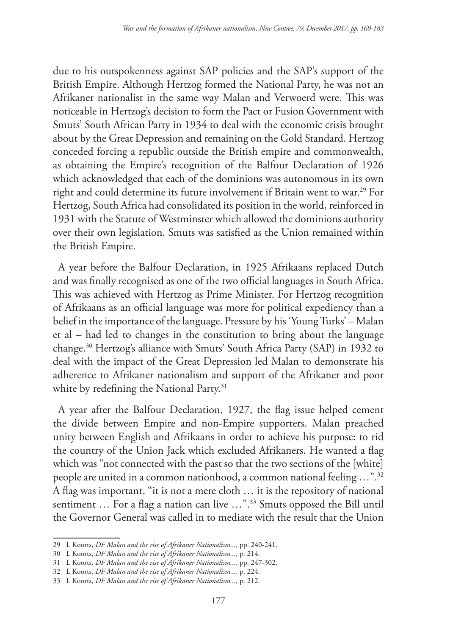due to his outspokenness against SAP policies and the SAP's support of the British Empire. Although Hertzog formed the National Party, he was not an Afrikaner nationalist in the same way Malan and Verwoerd were. This was noticeable in Hertzog's decision to form the Pact or Fusion Government with Smuts' South African Party in 1934 to deal with the economic crisis brought about by the Great Depression and remaining on the Gold Standard. Hertzog conceded forcing a republic outside the British empire and commonwealth, as obtaining the Empire's recognition of the Balfour Declaration of 1926 which acknowledged that each of the dominions was autonomous in its own right and could determine its future involvement if Britain went to war.<sup>29</sup> For Hertzog, South Africa had consolidated its position in the world, reinforced in 1931 with the Statute of Westminster which allowed the dominions authority over their own legislation. Smuts was satisfied as the Union remained within the British Empire.

A year before the Balfour Declaration, in 1925 Afrikaans replaced Dutch and was finally recognised as one of the two official languages in South Africa. This was achieved with Hertzog as Prime Minister. For Hertzog recognition of Afrikaans as an official language was more for political expediency than a belief in the importance of the language. Pressure by his 'Young Turks' – Malan et al – had led to changes in the constitution to bring about the language change.30 Hertzog's alliance with Smuts' South Africa Party (SAP) in 1932 to deal with the impact of the Great Depression led Malan to demonstrate his adherence to Afrikaner nationalism and support of the Afrikaner and poor white by redefining the National Party.<sup>31</sup>

A year after the Balfour Declaration, 1927, the flag issue helped cement the divide between Empire and non-Empire supporters. Malan preached unity between English and Afrikaans in order to achieve his purpose: to rid the country of the Union Jack which excluded Afrikaners. He wanted a flag which was "not connected with the past so that the two sections of the [white] people are united in a common nationhood, a common national feeling …".32 A flag was important, "it is not a mere cloth … it is the repository of national sentiment ... For a flag a nation can live ...".<sup>33</sup> Smuts opposed the Bill until the Governor General was called in to mediate with the result that the Union

<sup>29</sup> L Koorts, *DF Malan and the rise of Afrikaner Nationalism...*, pp. 240-241.

<sup>30</sup> L Koorts, *DF Malan and the rise of Afrikaner Nationalism...*, p. 214.

<sup>31</sup> L Koorts, *DF Malan and the rise of Afrikaner Nationalism...*, pp. 247-302.

<sup>32</sup> L Koorts, *DF Malan and the rise of Afrikaner Nationalism...*, p. 224.

<sup>33</sup> L Koorts, *DF Malan and the rise of Afrikaner Nationalism...*, p. 212.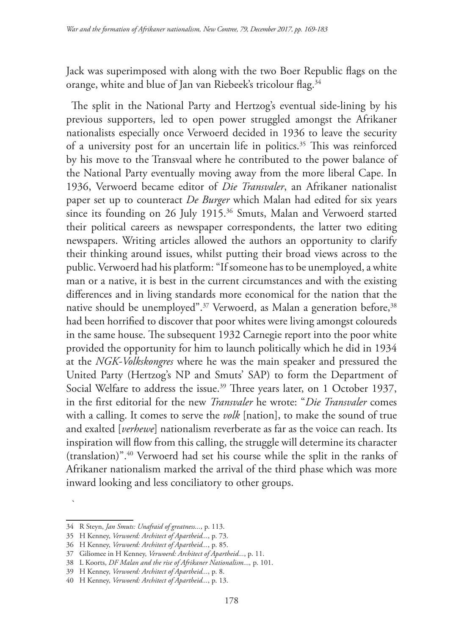Jack was superimposed with along with the two Boer Republic flags on the orange, white and blue of Jan van Riebeek's tricolour flag.<sup>34</sup>

The split in the National Party and Hertzog's eventual side-lining by his previous supporters, led to open power struggled amongst the Afrikaner nationalists especially once Verwoerd decided in 1936 to leave the security of a university post for an uncertain life in politics.<sup>35</sup> This was reinforced by his move to the Transvaal where he contributed to the power balance of the National Party eventually moving away from the more liberal Cape. In 1936, Verwoerd became editor of *Die Transvaler*, an Afrikaner nationalist paper set up to counteract *De Burger* which Malan had edited for six years since its founding on 26 July 1915.<sup>36</sup> Smuts, Malan and Verwoerd started their political careers as newspaper correspondents, the latter two editing newspapers. Writing articles allowed the authors an opportunity to clarify their thinking around issues, whilst putting their broad views across to the public. Verwoerd had his platform: "If someone has to be unemployed, a white man or a native, it is best in the current circumstances and with the existing differences and in living standards more economical for the nation that the native should be unemployed".<sup>37</sup> Verwoerd, as Malan a generation before,<sup>38</sup> had been horrified to discover that poor whites were living amongst coloureds in the same house. The subsequent 1932 Carnegie report into the poor white provided the opportunity for him to launch politically which he did in 1934 at the *NGK-Volkskongres* where he was the main speaker and pressured the United Party (Hertzog's NP and Smuts' SAP) to form the Department of Social Welfare to address the issue.<sup>39</sup> Three years later, on 1 October 1937, in the first editorial for the new *Transvaler* he wrote: "*Die Transvaler* comes with a calling. It comes to serve the *volk* [nation], to make the sound of true and exalted [*verhewe*] nationalism reverberate as far as the voice can reach. Its inspiration will flow from this calling, the struggle will determine its character (translation)".40 Verwoerd had set his course while the split in the ranks of Afrikaner nationalism marked the arrival of the third phase which was more inward looking and less conciliatory to other groups.

`

<sup>34</sup> R Steyn, *Jan Smuts: Unafraid of greatness...*, p. 113.

<sup>35</sup> H Kenney, *Verwoerd: Architect of Apartheid...*, p. 73.

<sup>36</sup> H Kenney, *Verwoerd: Architect of Apartheid...*, p. 85.

<sup>37</sup> Giliomee in H Kenney, *Verwoerd: Architect of Apartheid...*, p. 11.

<sup>38</sup> L Koorts, *DF Malan and the rise of Afrikaner Nationalism...,* p. 101.

<sup>39</sup> H Kenney, *Verwoerd: Architect of Apartheid...*, p. 8.

<sup>40</sup> H Kenney, *Verwoerd: Architect of Apartheid...*, p. 13.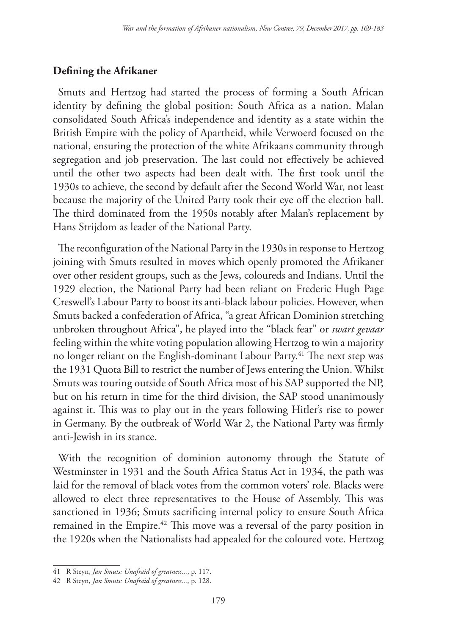## **Defining the Afrikaner**

Smuts and Hertzog had started the process of forming a South African identity by defining the global position: South Africa as a nation. Malan consolidated South Africa's independence and identity as a state within the British Empire with the policy of Apartheid, while Verwoerd focused on the national, ensuring the protection of the white Afrikaans community through segregation and job preservation. The last could not effectively be achieved until the other two aspects had been dealt with. The first took until the 1930s to achieve, the second by default after the Second World War, not least because the majority of the United Party took their eye off the election ball. The third dominated from the 1950s notably after Malan's replacement by Hans Strijdom as leader of the National Party.

The reconfiguration of the National Party in the 1930s in response to Hertzog joining with Smuts resulted in moves which openly promoted the Afrikaner over other resident groups, such as the Jews, coloureds and Indians. Until the 1929 election, the National Party had been reliant on Frederic Hugh Page Creswell's Labour Party to boost its anti-black labour policies. However, when Smuts backed a confederation of Africa, "a great African Dominion stretching unbroken throughout Africa", he played into the "black fear" or *swart gevaar* feeling within the white voting population allowing Hertzog to win a majority no longer reliant on the English-dominant Labour Party.<sup>41</sup> The next step was the 1931 Quota Bill to restrict the number of Jews entering the Union. Whilst Smuts was touring outside of South Africa most of his SAP supported the NP, but on his return in time for the third division, the SAP stood unanimously against it. This was to play out in the years following Hitler's rise to power in Germany. By the outbreak of World War 2, the National Party was firmly anti-Jewish in its stance.

With the recognition of dominion autonomy through the Statute of Westminster in 1931 and the South Africa Status Act in 1934, the path was laid for the removal of black votes from the common voters' role. Blacks were allowed to elect three representatives to the House of Assembly. This was sanctioned in 1936; Smuts sacrificing internal policy to ensure South Africa remained in the Empire.<sup>42</sup> This move was a reversal of the party position in the 1920s when the Nationalists had appealed for the coloured vote. Hertzog

<sup>41</sup> R Steyn, *Jan Smuts: Unafraid of greatness...*, p. 117.

<sup>42</sup> R Steyn, *Jan Smuts: Unafraid of greatness...*, p. 128.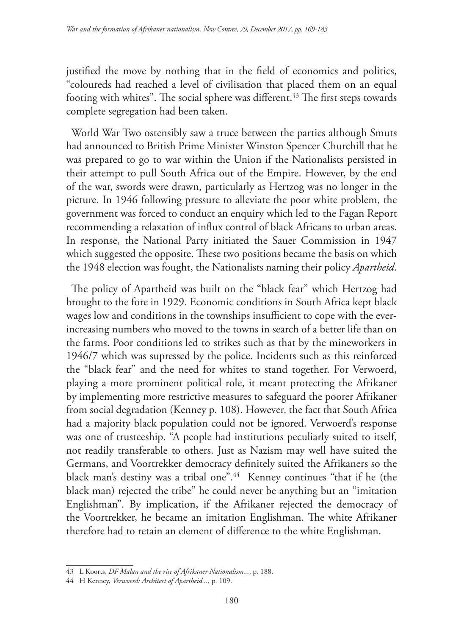justified the move by nothing that in the field of economics and politics, "coloureds had reached a level of civilisation that placed them on an equal footing with whites". The social sphere was different.<sup>43</sup> The first steps towards complete segregation had been taken.

World War Two ostensibly saw a truce between the parties although Smuts had announced to British Prime Minister Winston Spencer Churchill that he was prepared to go to war within the Union if the Nationalists persisted in their attempt to pull South Africa out of the Empire. However, by the end of the war, swords were drawn, particularly as Hertzog was no longer in the picture. In 1946 following pressure to alleviate the poor white problem, the government was forced to conduct an enquiry which led to the Fagan Report recommending a relaxation of influx control of black Africans to urban areas. In response, the National Party initiated the Sauer Commission in 1947 which suggested the opposite. These two positions became the basis on which the 1948 election was fought, the Nationalists naming their policy *Apartheid*.

The policy of Apartheid was built on the "black fear" which Hertzog had brought to the fore in 1929. Economic conditions in South Africa kept black wages low and conditions in the townships insufficient to cope with the everincreasing numbers who moved to the towns in search of a better life than on the farms. Poor conditions led to strikes such as that by the mineworkers in 1946/7 which was supressed by the police. Incidents such as this reinforced the "black fear" and the need for whites to stand together. For Verwoerd, playing a more prominent political role, it meant protecting the Afrikaner by implementing more restrictive measures to safeguard the poorer Afrikaner from social degradation (Kenney p. 108). However, the fact that South Africa had a majority black population could not be ignored. Verwoerd's response was one of trusteeship. "A people had institutions peculiarly suited to itself, not readily transferable to others. Just as Nazism may well have suited the Germans, and Voortrekker democracy definitely suited the Afrikaners so the black man's destiny was a tribal one".<sup>44</sup> Kenney continues "that if he (the black man) rejected the tribe" he could never be anything but an "imitation Englishman". By implication, if the Afrikaner rejected the democracy of the Voortrekker, he became an imitation Englishman. The white Afrikaner therefore had to retain an element of difference to the white Englishman.

<sup>43</sup> L Koorts, *DF Malan and the rise of Afrikaner Nationalism...*, p. 188.

<sup>44</sup> H Kenney, *Verwoerd: Architect of Apartheid...*, p. 109.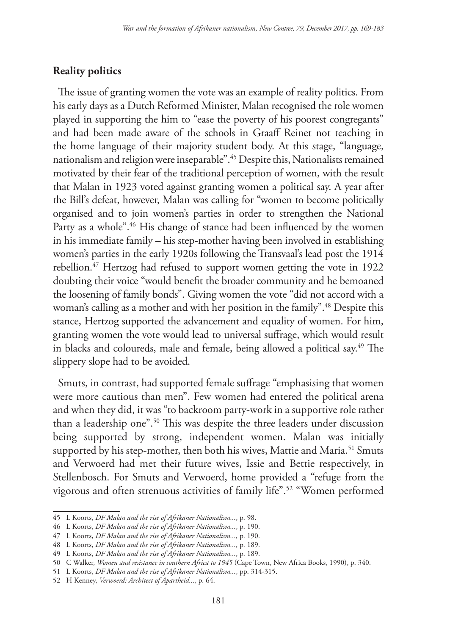## **Reality politics**

The issue of granting women the vote was an example of reality politics. From his early days as a Dutch Reformed Minister, Malan recognised the role women played in supporting the him to "ease the poverty of his poorest congregants" and had been made aware of the schools in Graaff Reinet not teaching in the home language of their majority student body. At this stage, "language, nationalism and religion were inseparable".45 Despite this, Nationalists remained motivated by their fear of the traditional perception of women, with the result that Malan in 1923 voted against granting women a political say. A year after the Bill's defeat, however, Malan was calling for "women to become politically organised and to join women's parties in order to strengthen the National Party as a whole".<sup>46</sup> His change of stance had been influenced by the women in his immediate family – his step-mother having been involved in establishing women's parties in the early 1920s following the Transvaal's lead post the 1914 rebellion.47 Hertzog had refused to support women getting the vote in 1922 doubting their voice "would benefit the broader community and he bemoaned the loosening of family bonds". Giving women the vote "did not accord with a woman's calling as a mother and with her position in the family".<sup>48</sup> Despite this stance, Hertzog supported the advancement and equality of women. For him, granting women the vote would lead to universal suffrage, which would result in blacks and coloureds, male and female, being allowed a political say.49 The slippery slope had to be avoided.

Smuts, in contrast, had supported female suffrage "emphasising that women were more cautious than men". Few women had entered the political arena and when they did, it was "to backroom party-work in a supportive role rather than a leadership one".<sup>50</sup> This was despite the three leaders under discussion being supported by strong, independent women. Malan was initially supported by his step-mother, then both his wives, Mattie and Maria.<sup>51</sup> Smuts and Verwoerd had met their future wives, Issie and Bettie respectively, in Stellenbosch. For Smuts and Verwoerd, home provided a "refuge from the vigorous and often strenuous activities of family life".52 "Women performed

<sup>45</sup> L Koorts, *DF Malan and the rise of Afrikaner Nationalism...*, p. 98.

<sup>46</sup> L Koorts, *DF Malan and the rise of Afrikaner Nationalism...*, p. 190.

<sup>47</sup> L Koorts, *DF Malan and the rise of Afrikaner Nationalism...*, p. 190.

<sup>48</sup> L Koorts, *DF Malan and the rise of Afrikaner Nationalism...*, p. 189.

<sup>49</sup> L Koorts, *DF Malan and the rise of Afrikaner Nationalism...*, p. 189.

<sup>50</sup> C Walker, *Women and resistance in southern Africa to 1945* (Cape Town, New Africa Books, 1990), p. 340.

<sup>51</sup> L Koorts, *DF Malan and the rise of Afrikaner Nationalism...*, pp. 314-315.

<sup>52</sup> H Kenney, *Verwoerd: Architect of Apartheid...*, p. 64.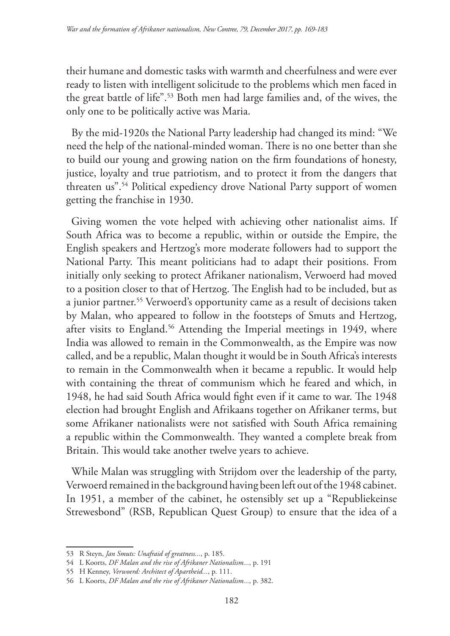their humane and domestic tasks with warmth and cheerfulness and were ever ready to listen with intelligent solicitude to the problems which men faced in the great battle of life".53 Both men had large families and, of the wives, the only one to be politically active was Maria.

By the mid-1920s the National Party leadership had changed its mind: "We need the help of the national-minded woman. There is no one better than she to build our young and growing nation on the firm foundations of honesty, justice, loyalty and true patriotism, and to protect it from the dangers that threaten us".54 Political expediency drove National Party support of women getting the franchise in 1930.

Giving women the vote helped with achieving other nationalist aims. If South Africa was to become a republic, within or outside the Empire, the English speakers and Hertzog's more moderate followers had to support the National Party. This meant politicians had to adapt their positions. From initially only seeking to protect Afrikaner nationalism, Verwoerd had moved to a position closer to that of Hertzog. The English had to be included, but as a junior partner.55 Verwoerd's opportunity came as a result of decisions taken by Malan, who appeared to follow in the footsteps of Smuts and Hertzog, after visits to England.<sup>56</sup> Attending the Imperial meetings in 1949, where India was allowed to remain in the Commonwealth, as the Empire was now called, and be a republic, Malan thought it would be in South Africa's interests to remain in the Commonwealth when it became a republic. It would help with containing the threat of communism which he feared and which, in 1948, he had said South Africa would fight even if it came to war. The 1948 election had brought English and Afrikaans together on Afrikaner terms, but some Afrikaner nationalists were not satisfied with South Africa remaining a republic within the Commonwealth. They wanted a complete break from Britain. This would take another twelve years to achieve.

While Malan was struggling with Strijdom over the leadership of the party, Verwoerd remained in the background having been left out of the 1948 cabinet. In 1951, a member of the cabinet, he ostensibly set up a "Republiekeinse Strewesbond" (RSB, Republican Quest Group) to ensure that the idea of a

<sup>53</sup> R Steyn, *Jan Smuts: Unafraid of greatness...*, p. 185.

<sup>54</sup> L Koorts, *DF Malan and the rise of Afrikaner Nationalism...*, p. 191

<sup>55</sup> H Kenney, *Verwoerd: Architect of Apartheid...*, p. 111.

<sup>56</sup> L Koorts, *DF Malan and the rise of Afrikaner Nationalism...*, p. 382.